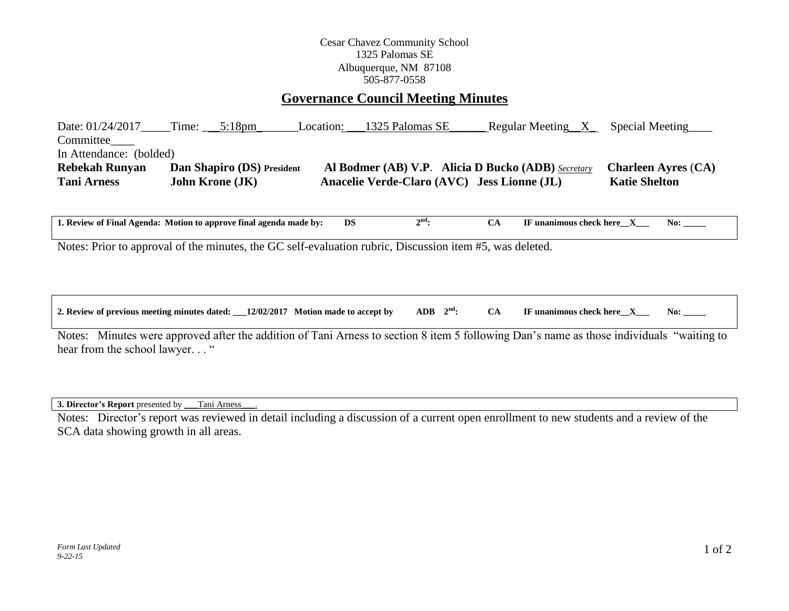## Cesar Chavez Community School 1325 Palomas SE Albuquerque, NM 87108 505-877-0558

# **Governance Council Meeting Minutes**

Date: 01/24/2017\_\_\_\_\_Time: \_\_\_\_5:18pm\_\_\_\_\_\_\_\_\_Location: \_\_\_1325 Palomas SE\_\_\_\_\_\_\_ Regular Meeting\_\_X\_\_\_\_Special Meeting Committee In Attendance: (bolded) **Rebekah Runyan Dan Shapiro (DS) President Al Bodmer (AB) V.P**. **Alicia D Bucko (ADB)** *Secretary* **Charleen Ayres** (**CA) Tani Arness John Krone (JK) Anacelie Verde-Claro (AVC) Jess Lionne (JL) Katie Shelton**

**1. Review of Final Agenda: Motion to approve final agenda made by: DS 2** CA **IF unanimous check here X** No:

Notes: Prior to approval of the minutes, the GC self-evaluation rubric, Discussion item #5, was deleted.

| 2. Review of previous meeting minutes dated: | 12/02/2017<br>Motion made to accept by | <b>ADB</b><br>$\sim$ nd | No:<br>' unanimous check here |  |
|----------------------------------------------|----------------------------------------|-------------------------|-------------------------------|--|
|                                              |                                        |                         |                               |  |

Notes: Minutes were approved after the addition of Tani Arness to section 8 item 5 following Dan's name as those individuals "waiting to hear from the school lawyer..."

**3. Director's Report** presented by \_\_\_Tani Arness\_\_\_.

Notes: Director's report was reviewed in detail including a discussion of a current open enrollment to new students and a review of the SCA data showing growth in all areas.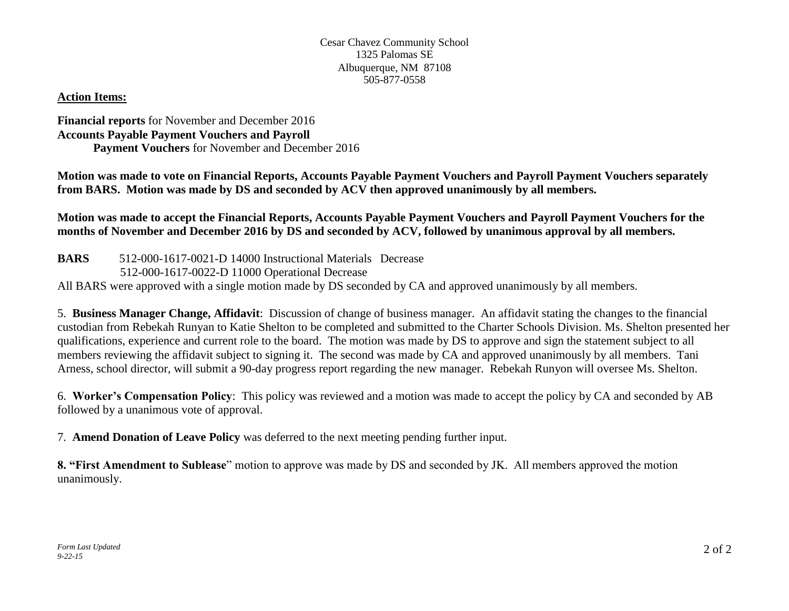## **Action Items:**

### **Financial reports** for November and December 2016 **Accounts Payable Payment Vouchers and Payroll Payment Vouchers** for November and December 2016

**Motion was made to vote on Financial Reports, Accounts Payable Payment Vouchers and Payroll Payment Vouchers separately from BARS. Motion was made by DS and seconded by ACV then approved unanimously by all members.** 

**Motion was made to accept the Financial Reports, Accounts Payable Payment Vouchers and Payroll Payment Vouchers for the months of November and December 2016 by DS and seconded by ACV, followed by unanimous approval by all members.** 

**BARS** 512-000-1617-0021-D 14000 Instructional Materials Decrease 512-000-1617-0022-D 11000 Operational Decrease All BARS were approved with a single motion made by DS seconded by CA and approved unanimously by all members.

5. **Business Manager Change, Affidavit**: Discussion of change of business manager. An affidavit stating the changes to the financial custodian from Rebekah Runyan to Katie Shelton to be completed and submitted to the Charter Schools Division. Ms. Shelton presented her qualifications, experience and current role to the board. The motion was made by DS to approve and sign the statement subject to all members reviewing the affidavit subject to signing it. The second was made by CA and approved unanimously by all members. Tani Arness, school director, will submit a 90-day progress report regarding the new manager. Rebekah Runyon will oversee Ms. Shelton.

6. **Worker's Compensation Policy**: This policy was reviewed and a motion was made to accept the policy by CA and seconded by AB followed by a unanimous vote of approval.

7. **Amend Donation of Leave Policy** was deferred to the next meeting pending further input.

**8. "First Amendment to Sublease**" motion to approve was made by DS and seconded by JK. All members approved the motion unanimously.